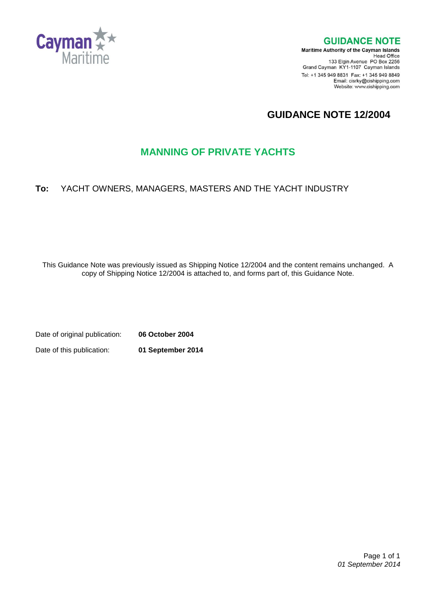

**GUIDANCE NOTE** 

**Maritime Authority of the Cayman Islands** Head Office<br>Head Office<br>133 Elgin Avenue PO Box 2256 Grand Cayman KY1-1107 Cayman Islands Tel: +1 345 949 8831 Fax: +1 345 949 8849 Email: cisrky@cishipping.com Website: www.cishipping.com

# **GUIDANCE NOTE 12/2004**

## **MANNING OF PRIVATE YACHTS**

## **To:** YACHT OWNERS, MANAGERS, MASTERS AND THE YACHT INDUSTRY

This Guidance Note was previously issued as Shipping Notice 12/2004 and the content remains unchanged. A copy of Shipping Notice 12/2004 is attached to, and forms part of, this Guidance Note.

Date of original publication: **06 October 2004** Date of this publication: **01 September 2014**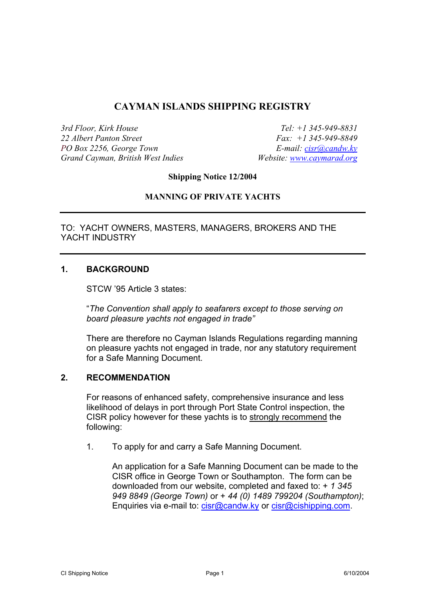### **CAYMAN ISLANDS SHIPPING REGISTRY**

*3rd Floor, Kirk House 22 Albert Panton Street PO Box 2256, George Town Grand Cayman, British West Indies*

*Tel: +1 345-949-8831 Fax: +1 345-949-8849 E-mail: [cisr@candw.ky](mailto:cisr@candw.ky) Website: [www.caymarad.org](http://www.caymarad.org/)*

**Shipping Notice 12/2004** 

#### **MANNING OF PRIVATE YACHTS**

TO: YACHT OWNERS, MASTERS, MANAGERS, BROKERS AND THE YACHT INDUSTRY

#### **1. BACKGROUND**

STCW '95 Article 3 states:

"*The Convention shall apply to seafarers except to those serving on board pleasure yachts not engaged in trade"* 

There are therefore no Cayman Islands Regulations regarding manning on pleasure yachts not engaged in trade, nor any statutory requirement for a Safe Manning Document.

#### **2. RECOMMENDATION**

For reasons of enhanced safety, comprehensive insurance and less likelihood of delays in port through Port State Control inspection, the CISR policy however for these yachts is to strongly recommend the following:

1. To apply for and carry a Safe Manning Document.

An application for a Safe Manning Document can be made to the CISR office in George Town or Southampton. The form can be downloaded from our website, completed and faxed to: + *1 345 949 8849 (George Town)* or + *44 (0) 1489 799204 (Southampton)*; Enquiries via e-mail to: [cisr@candw.ky](mailto:cisr@candw.ky) or [cisr@cishipping.com](mailto:cisr@cishipping.com).